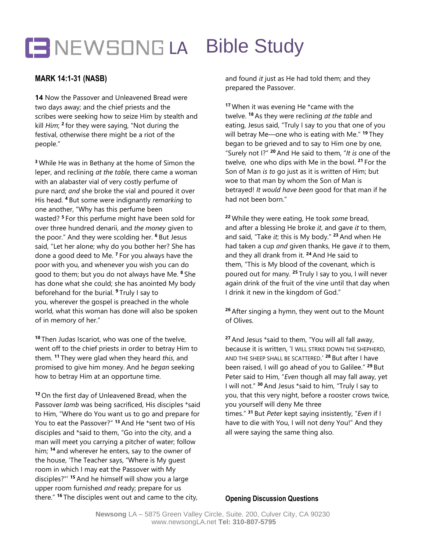## BUT NEWSONG LA Bible Study

## **MARK 14:1-31 (NASB)**

**14** Now the Passover and Unleavened Bread were two days away; and the chief priests and the scribes were seeking how to seize Him by stealth and kill *Him*; **2** for they were saying, "Not during the festival, otherwise there might be a riot of the people."

**<sup>3</sup>** While He was in Bethany at the home of Simon the leper, and reclining *at the table*, there came a woman with an alabaster vial of very costly perfume of pure nard; *and* she broke the vial and poured it over His head. **<sup>4</sup>** But some were indignantly *remarking* to one another, "Why has this perfume been wasted? **<sup>5</sup>** For this perfume might have been sold for over three hundred denarii, and *the money* given to the poor." And they were scolding her. **<sup>6</sup>** But Jesus said, "Let her alone; why do you bother her? She has done a good deed to Me. **<sup>7</sup>** For you always have the poor with you, and whenever you wish you can do good to them; but you do not always have Me. **<sup>8</sup>** She has done what she could; she has anointed My body beforehand for the burial. **<sup>9</sup>** Truly I say to you, wherever the gospel is preached in the whole world, what this woman has done will also be spoken of in memory of her."

**<sup>10</sup>** Then Judas Iscariot, who was one of the twelve, went off to the chief priests in order to betray Him to them. **<sup>11</sup>** They were glad when they heard *this*, and promised to give him money. And he *began* seeking how to betray Him at an opportune time.

**<sup>12</sup>** On the first day of Unleavened Bread, when the Passover *lamb* was being sacrificed, His disciples \*said to Him, "Where do You want us to go and prepare for You to eat the Passover?" **<sup>13</sup>** And He \*sent two of His disciples and \*said to them, "Go into the city, and a man will meet you carrying a pitcher of water; follow him; **<sup>14</sup>** and wherever he enters, say to the owner of the house, 'The Teacher says, "Where is My guest room in which I may eat the Passover with My disciples?"' **<sup>15</sup>** And he himself will show you a large upper room furnished *and* ready; prepare for us there." **<sup>16</sup>** The disciples went out and came to the city,

and found *it* just as He had told them; and they prepared the Passover.

**<sup>17</sup>** When it was evening He \*came with the twelve. **<sup>18</sup>** As they were reclining *at the table* and eating, Jesus said, "Truly I say to you that one of you will betray Me—one who is eating with Me." **<sup>19</sup>** They began to be grieved and to say to Him one by one, "Surely not I?" **<sup>20</sup>** And He said to them, "*It is* one of the twelve, one who dips with Me in the bowl. **<sup>21</sup>** For the Son of Man *is to* go just as it is written of Him; but woe to that man by whom the Son of Man is betrayed! *It would have been* good for that man if he had not been born."

**<sup>22</sup>** While they were eating, He took *some* bread, and after a blessing He broke *it*, and gave *it* to them, and said, "Take *it*; this is My body." **<sup>23</sup>** And when He had taken a cup *and* given thanks, He gave *it* to them, and they all drank from it. **<sup>24</sup>** And He said to them, "This is My blood of the covenant, which is poured out for many. **<sup>25</sup>** Truly I say to you, I will never again drink of the fruit of the vine until that day when I drink it new in the kingdom of God."

**<sup>26</sup>** After singing a hymn, they went out to the Mount of Olives.

**<sup>27</sup>** And Jesus \*said to them, "You will all fall away, because it is written, 'I WILL STRIKE DOWN THE SHEPHERD, AND THE SHEEP SHALL BE SCATTERED.' **<sup>28</sup>** But after I have been raised, I will go ahead of you to Galilee." **<sup>29</sup>** But Peter said to Him, "*Even* though all may fall away, yet I will not." **<sup>30</sup>** And Jesus \*said to him, "Truly I say to you, that this very night, before a rooster crows twice, you yourself will deny Me three times." **<sup>31</sup>** But *Peter* kept saying insistently, "*Even* if I have to die with You, I will not deny You!" And they all were saying the same thing also.

**Opening Discussion Questions**